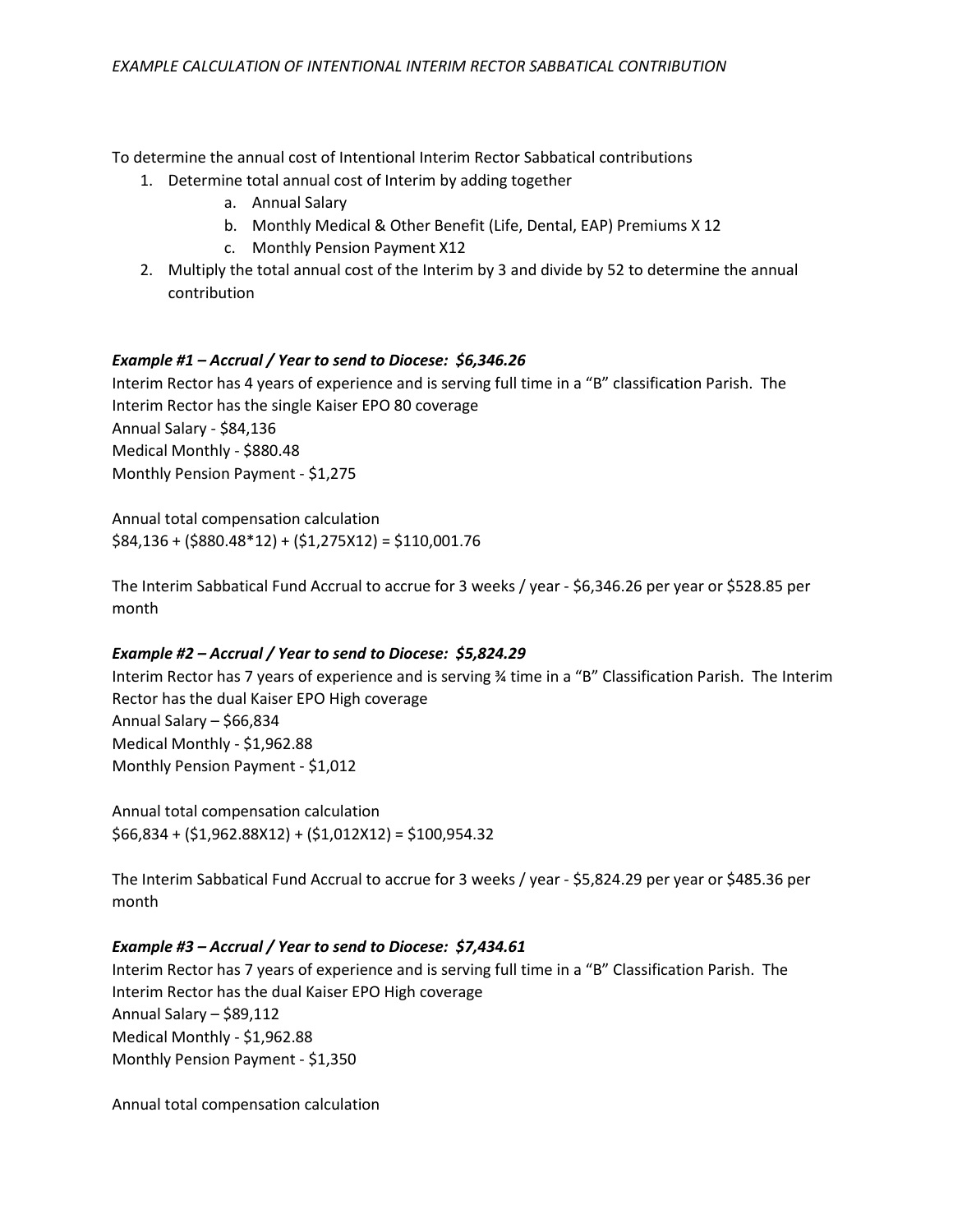To determine the annual cost of Intentional Interim Rector Sabbatical contributions

- 1. Determine total annual cost of Interim by adding together
	- a. Annual Salary
	- b. Monthly Medical & Other Benefit (Life, Dental, EAP) Premiums X 12
	- c. Monthly Pension Payment X12
- 2. Multiply the total annual cost of the Interim by 3 and divide by 52 to determine the annual contribution

## *Example #1 – Accrual / Year to send to Diocese: \$6,346.26*

Interim Rector has 4 years of experience and is serving full time in a "B" classification Parish. The Interim Rector has the single Kaiser EPO 80 coverage Annual Salary - \$84,136 Medical Monthly - \$880.48 Monthly Pension Payment - \$1,275

Annual total compensation calculation \$84,136 + (\$880.48\*12) + (\$1,275X12) = \$110,001.76

The Interim Sabbatical Fund Accrual to accrue for 3 weeks / year - \$6,346.26 per year or \$528.85 per month

## *Example #2 – Accrual / Year to send to Diocese: \$5,824.29*

Interim Rector has 7 years of experience and is serving ¾ time in a "B" Classification Parish. The Interim Rector has the dual Kaiser EPO High coverage Annual Salary – \$66,834 Medical Monthly - \$1,962.88 Monthly Pension Payment - \$1,012

Annual total compensation calculation \$66,834 + (\$1,962.88X12) + (\$1,012X12) = \$100,954.32

The Interim Sabbatical Fund Accrual to accrue for 3 weeks / year - \$5,824.29 per year or \$485.36 per month

# *Example #3 – Accrual / Year to send to Diocese: \$7,434.61*

Interim Rector has 7 years of experience and is serving full time in a "B" Classification Parish. The Interim Rector has the dual Kaiser EPO High coverage Annual Salary – \$89,112 Medical Monthly - \$1,962.88 Monthly Pension Payment - \$1,350

Annual total compensation calculation